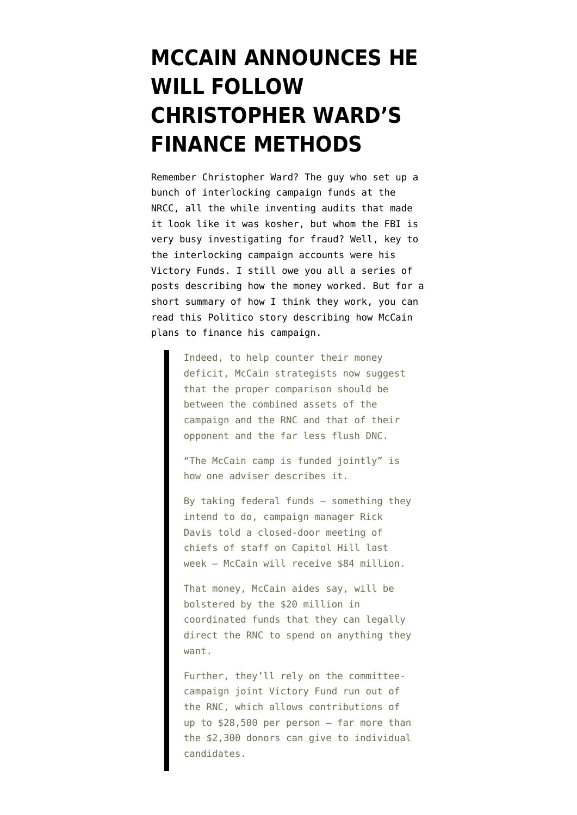## **[MCCAIN ANNOUNCES HE](https://www.emptywheel.net/2008/04/20/mccain-announces-he-will-follow-christopher-wards-finance-methods/) [WILL FOLLOW](https://www.emptywheel.net/2008/04/20/mccain-announces-he-will-follow-christopher-wards-finance-methods/) [CHRISTOPHER WARD'S](https://www.emptywheel.net/2008/04/20/mccain-announces-he-will-follow-christopher-wards-finance-methods/) [FINANCE METHODS](https://www.emptywheel.net/2008/04/20/mccain-announces-he-will-follow-christopher-wards-finance-methods/)**

Remember [Christopher Ward?](http://emptywheel.firedoglake.com/2008/03/18/theyre-not-businesspeople-they-wont-spend-a-dime-on-management/) The guy who set up a bunch of interlocking campaign funds at the NRCC, all the while inventing audits that made it look like it was kosher, but whom the FBI is very busy investigating for fraud? Well, key to the interlocking campaign accounts were his Victory Funds. I still owe you all a series of posts describing how the money worked. But for a short summary of how I think they work, you can read this [Politico story](http://www.politico.com/news/stories/0408/9685.html) describing how McCain plans to finance his campaign.

> Indeed, to help counter their money deficit, McCain strategists now suggest that the proper comparison should be between the combined assets of the campaign and the RNC and that of their opponent and the far less flush DNC.

"The McCain camp is funded jointly" is how one adviser describes it.

By taking federal funds — something they intend to do, campaign manager Rick Davis told a closed-door meeting of chiefs of staff on Capitol Hill last week — McCain will receive \$84 million.

That money, McCain aides say, will be bolstered by the \$20 million in coordinated funds that they can legally direct the RNC to spend on anything they want.

Further, they'll rely on the committeecampaign joint Victory Fund run out of the RNC, which allows contributions of up to \$28,500 per person — far more than the \$2,300 donors can give to individual candidates.